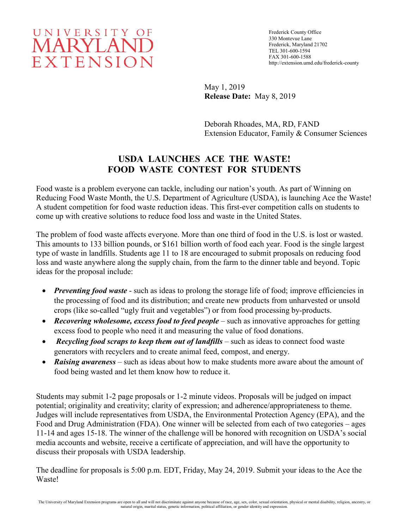## UNIVERSITY OF **MARYLAND** EXTENSION

Frederick County Office 330 Montevue Lane Frederick, Maryland 21702 TEL 301-600-1594 FAX 301-600-1588 http://extension.umd.edu/frederick-county

May 1, 2019 **Release Date:** May 8, 2019

Deborah Rhoades, MA, RD, FAND Extension Educator, Family & Consumer Sciences

## **USDA LAUNCHES ACE THE WASTE! FOOD WASTE CONTEST FOR STUDENTS**

Food waste is a problem everyone can tackle, including our nation's youth. As part of Winning on Reducing Food Waste Month, the U.S. Department of Agriculture (USDA), is launching Ace the Waste! A student competition for food waste reduction ideas. This first-ever competition calls on students to come up with creative solutions to reduce food loss and waste in the United States.

The problem of food waste affects everyone. More than one third of food in the U.S. is lost or wasted. This amounts to 133 billion pounds, or \$161 billion worth of food each year. Food is the single largest type of waste in landfills. Students age 11 to 18 are encouraged to submit proposals on reducing food loss and waste anywhere along the supply chain, from the farm to the dinner table and beyond. Topic ideas for the proposal include:

- *Preventing food waste* such as ideas to prolong the storage life of food; improve efficiencies in the processing of food and its distribution; and create new products from unharvested or unsold crops (like so-called "ugly fruit and vegetables") or from food processing by-products.
- *Recovering wholesome, excess food to feed people* such as innovative approaches for getting excess food to people who need it and measuring the value of food donations.
- *Recycling food scraps to keep them out of landfills* such as ideas to connect food waste generators with recyclers and to create animal feed, compost, and energy.
- *Raising awareness* such as ideas about how to make students more aware about the amount of food being wasted and let them know how to reduce it.

Students may submit 1-2 page proposals or 1-2 minute videos. Proposals will be judged on impact potential; originality and creativity; clarity of expression; and adherence/appropriateness to theme. Judges will include representatives from USDA, the Environmental Protection Agency (EPA), and the Food and Drug Administration (FDA). One winner will be selected from each of two categories – ages 11-14 and ages 15-18. The winner of the challenge will be honored with recognition on USDA's social media accounts and website, receive a certificate of appreciation, and will have the opportunity to discuss their proposals with USDA leadership.

The deadline for proposals is 5:00 p.m. EDT, Friday, May 24, 2019. Submit your ideas to the Ace the Waste!